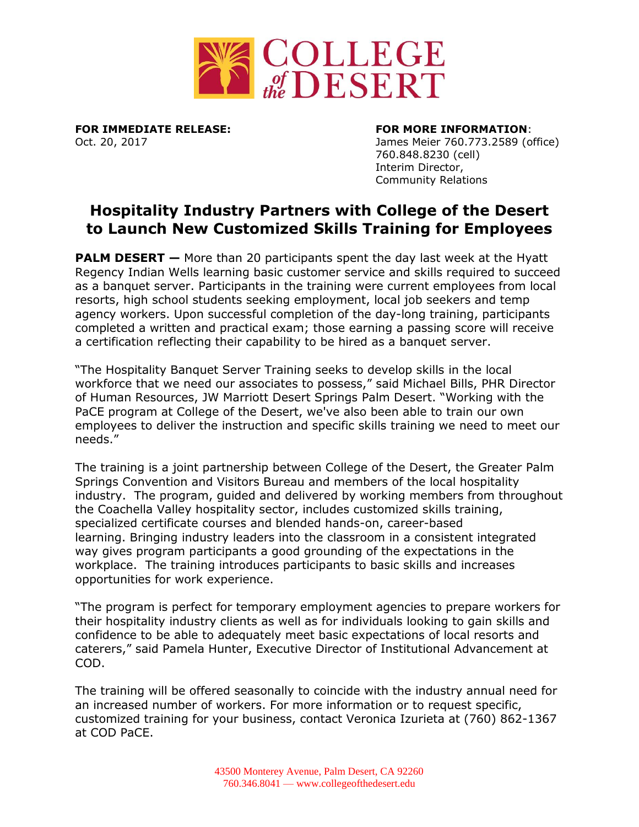

**FOR IMMEDIATE RELEASE: FOR MORE INFORMATION**:

Oct. 20, 2017 James Meier 760.773.2589 (office) 760.848.8230 (cell) Interim Director, Community Relations

# **Hospitality Industry Partners with College of the Desert to Launch New Customized Skills Training for Employees**

**PALM DESERT** – More than 20 participants spent the day last week at the Hyatt Regency Indian Wells learning basic customer service and skills required to succeed as a banquet server. Participants in the training were current employees from local resorts, high school students seeking employment, local job seekers and temp agency workers. Upon successful completion of the day-long training, participants completed a written and practical exam; those earning a passing score will receive a certification reflecting their capability to be hired as a banquet server.

"The Hospitality Banquet Server Training seeks to develop skills in the local workforce that we need our associates to possess," said Michael Bills, PHR Director of Human Resources, JW Marriott Desert Springs Palm Desert. "Working with the PaCE program at College of the Desert, we've also been able to train our own employees to deliver the instruction and specific skills training we need to meet our needs."

The training is a joint partnership between College of the Desert, the Greater Palm Springs Convention and Visitors Bureau and members of the local hospitality industry. The program, guided and delivered by working members from throughout the Coachella Valley hospitality sector, includes customized skills training, specialized certificate courses and blended hands-on, career-based learning. Bringing industry leaders into the classroom in a consistent integrated way gives program participants a good grounding of the expectations in the workplace. The training introduces participants to basic skills and increases opportunities for work experience.

"The program is perfect for temporary employment agencies to prepare workers for their hospitality industry clients as well as for individuals looking to gain skills and confidence to be able to adequately meet basic expectations of local resorts and caterers," said Pamela Hunter, Executive Director of Institutional Advancement at COD.

The training will be offered seasonally to coincide with the industry annual need for an increased number of workers. For more information or to request specific, customized training for your business, contact Veronica Izurieta at (760) 862-1367 at COD PaCE.